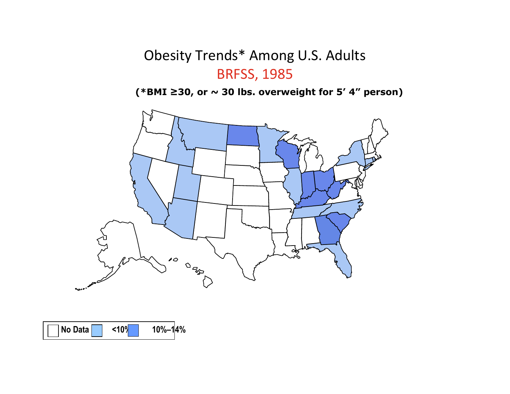

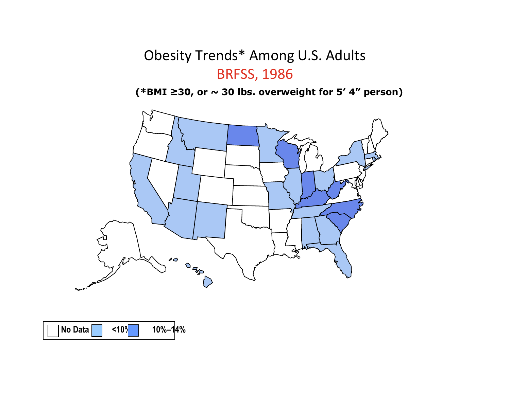

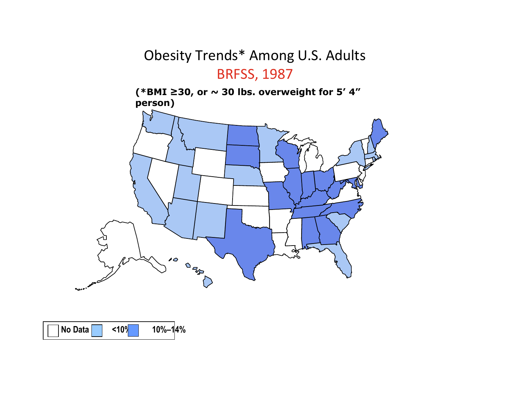(\*BMI ≥30, or  $\sim$  30 lbs. overweight for 5′ 4″<br>person) person)



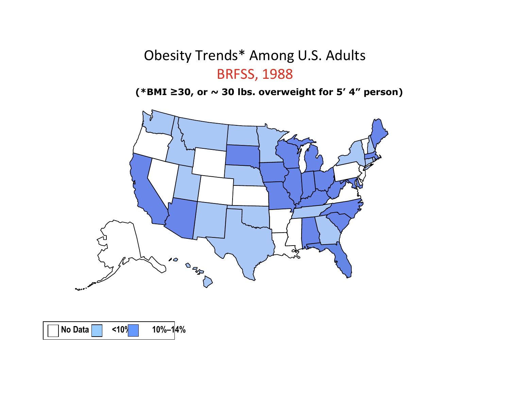

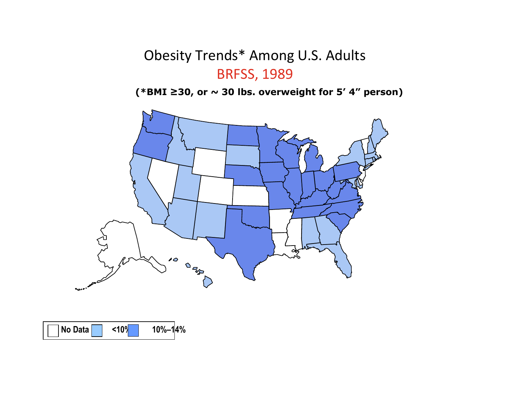

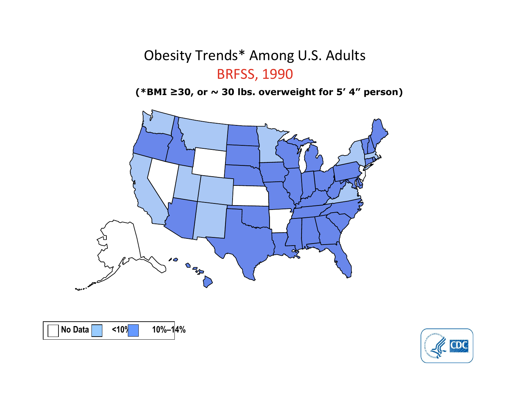



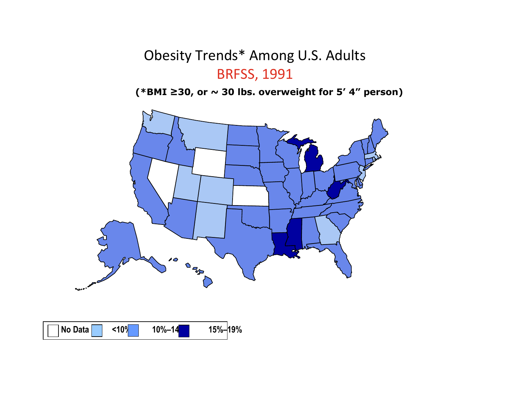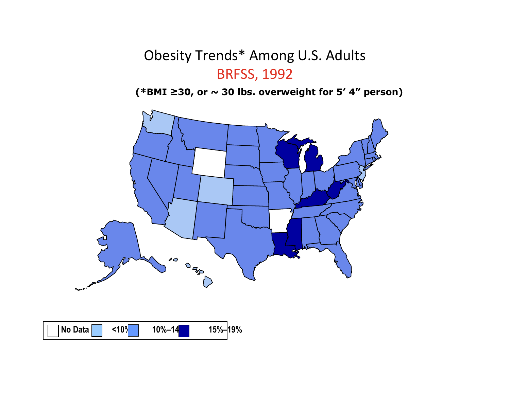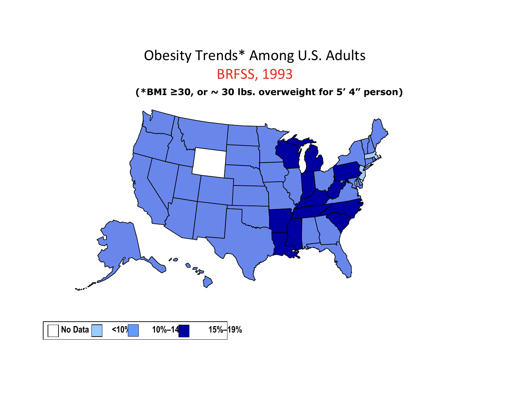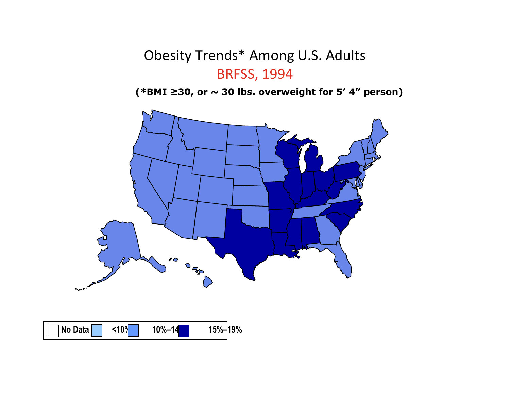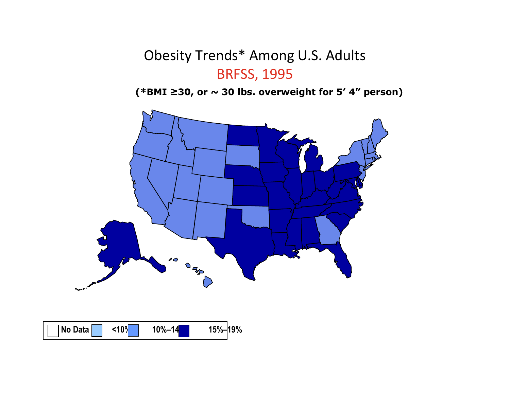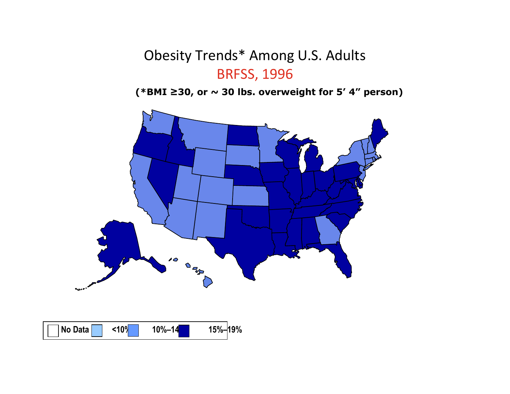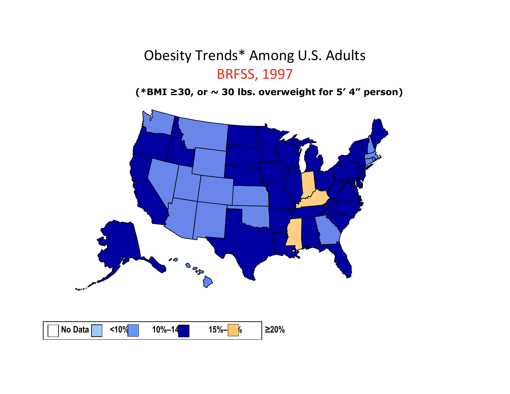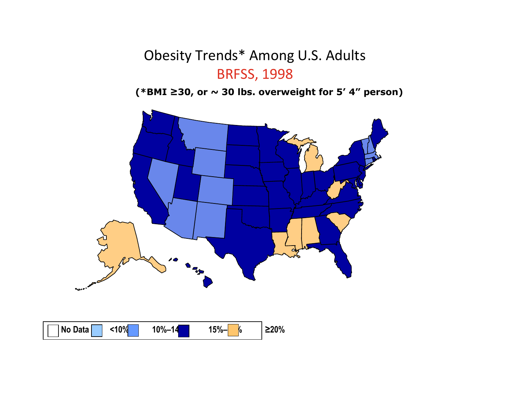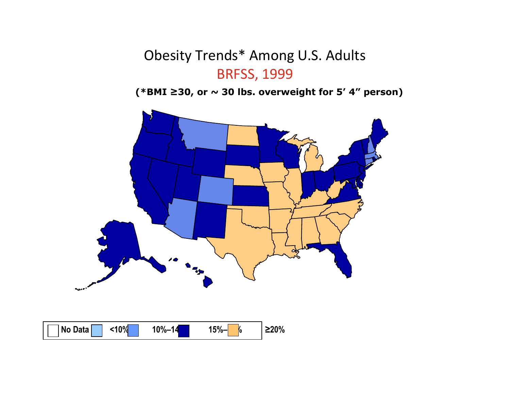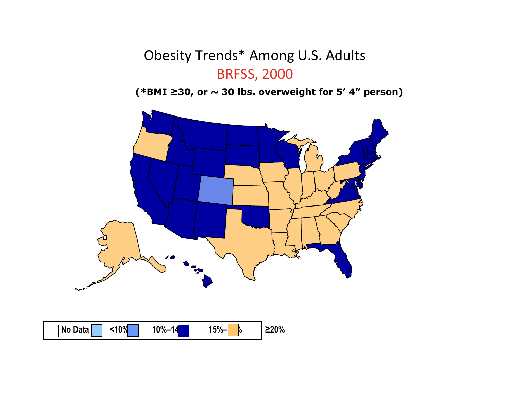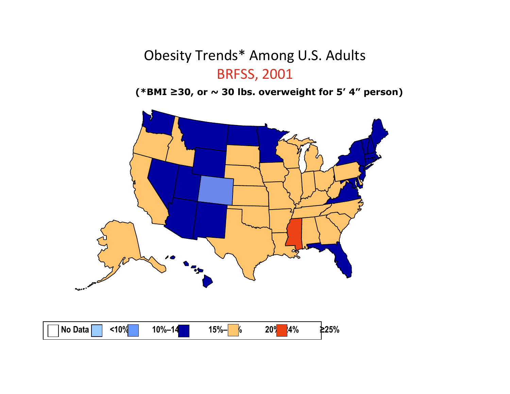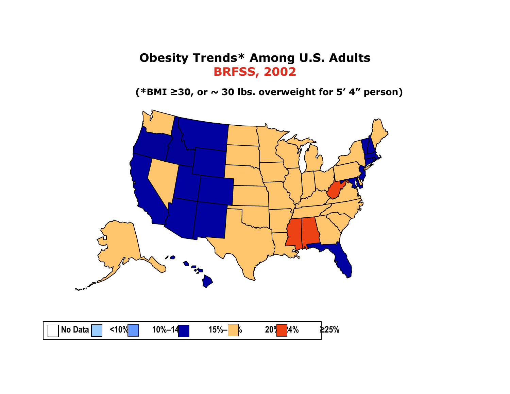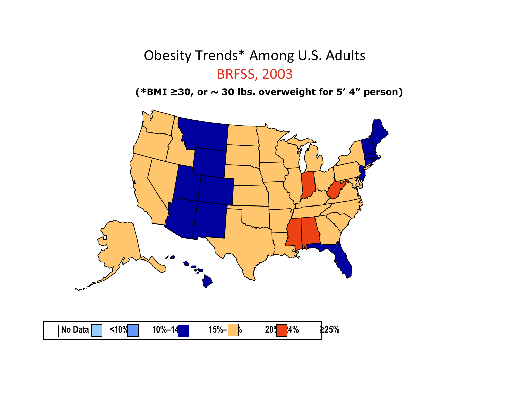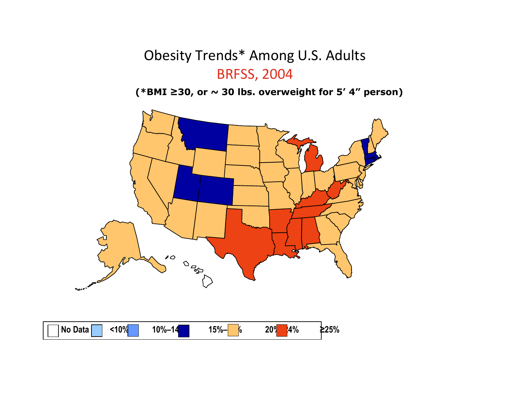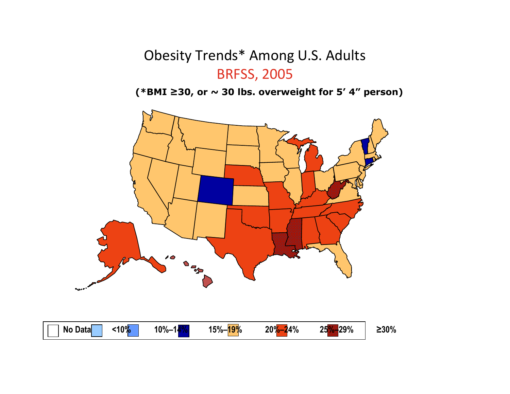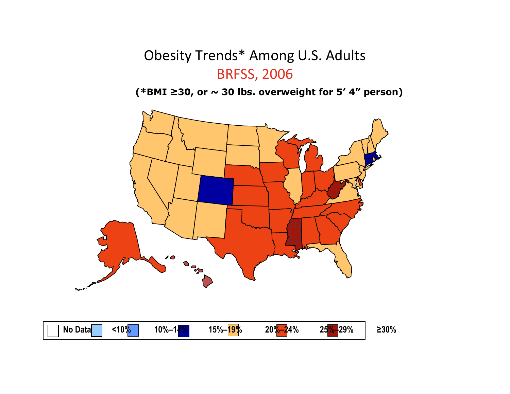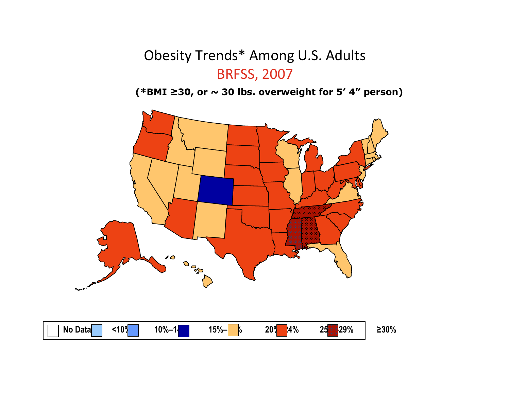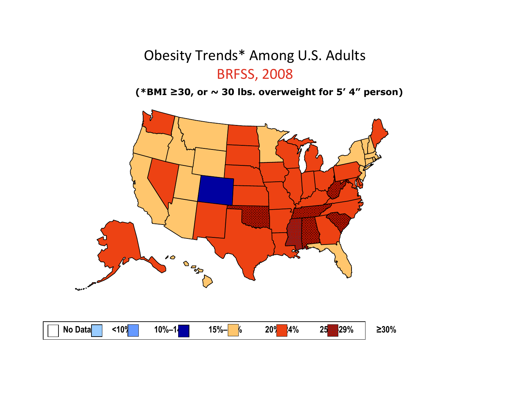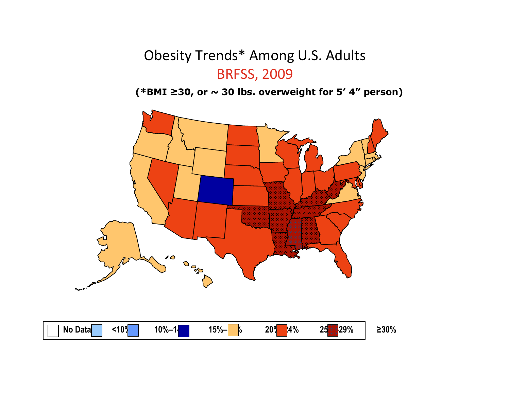